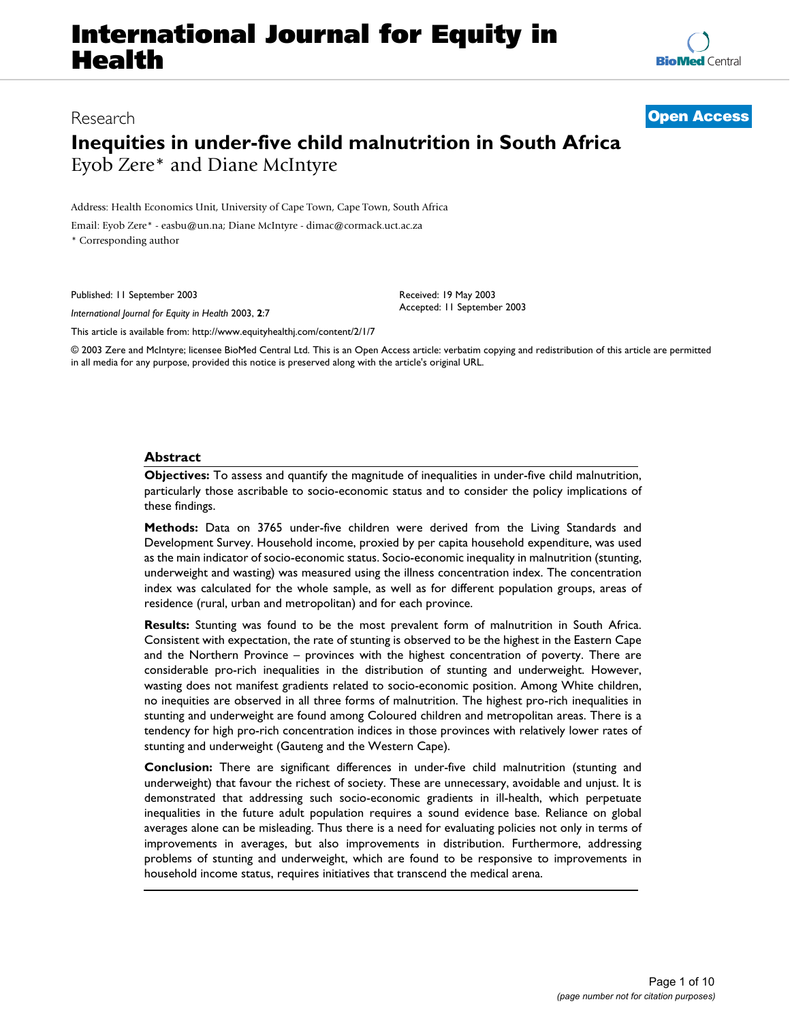# **International Journal for Equity in Health**

**[BioMed](http://www.biomedcentral.com/)** Central

# Research **[Open Access](http://www.biomedcentral.com/info/about/charter/) Inequities in under-five child malnutrition in South Africa** Eyob Zere\* and Diane McIntyre

Address: Health Economics Unit, University of Cape Town, Cape Town, South Africa Email: Eyob Zere\* - easbu@un.na; Diane McIntyre - dimac@cormack.uct.ac.za \* Corresponding author

Published: 11 September 2003

*International Journal for Equity in Health* 2003, **2**:7

Received: 19 May 2003 Accepted: 11 September 2003

[This article is available from: http://www.equityhealthj.com/content/2/1/7](http://www.equityhealthj.com/content/2/1/7)

© 2003 Zere and McIntyre; licensee BioMed Central Ltd. This is an Open Access article: verbatim copying and redistribution of this article are permitted in all media for any purpose, provided this notice is preserved along with the article's original URL.

# **Abstract**

**Objectives:** To assess and quantify the magnitude of inequalities in under-five child malnutrition, particularly those ascribable to socio-economic status and to consider the policy implications of these findings.

**Methods:** Data on 3765 under-five children were derived from the Living Standards and Development Survey. Household income, proxied by per capita household expenditure, was used as the main indicator of socio-economic status. Socio-economic inequality in malnutrition (stunting, underweight and wasting) was measured using the illness concentration index. The concentration index was calculated for the whole sample, as well as for different population groups, areas of residence (rural, urban and metropolitan) and for each province.

**Results:** Stunting was found to be the most prevalent form of malnutrition in South Africa. Consistent with expectation, the rate of stunting is observed to be the highest in the Eastern Cape and the Northern Province – provinces with the highest concentration of poverty. There are considerable pro-rich inequalities in the distribution of stunting and underweight. However, wasting does not manifest gradients related to socio-economic position. Among White children, no inequities are observed in all three forms of malnutrition. The highest pro-rich inequalities in stunting and underweight are found among Coloured children and metropolitan areas. There is a tendency for high pro-rich concentration indices in those provinces with relatively lower rates of stunting and underweight (Gauteng and the Western Cape).

**Conclusion:** There are significant differences in under-five child malnutrition (stunting and underweight) that favour the richest of society. These are unnecessary, avoidable and unjust. It is demonstrated that addressing such socio-economic gradients in ill-health, which perpetuate inequalities in the future adult population requires a sound evidence base. Reliance on global averages alone can be misleading. Thus there is a need for evaluating policies not only in terms of improvements in averages, but also improvements in distribution. Furthermore, addressing problems of stunting and underweight, which are found to be responsive to improvements in household income status, requires initiatives that transcend the medical arena.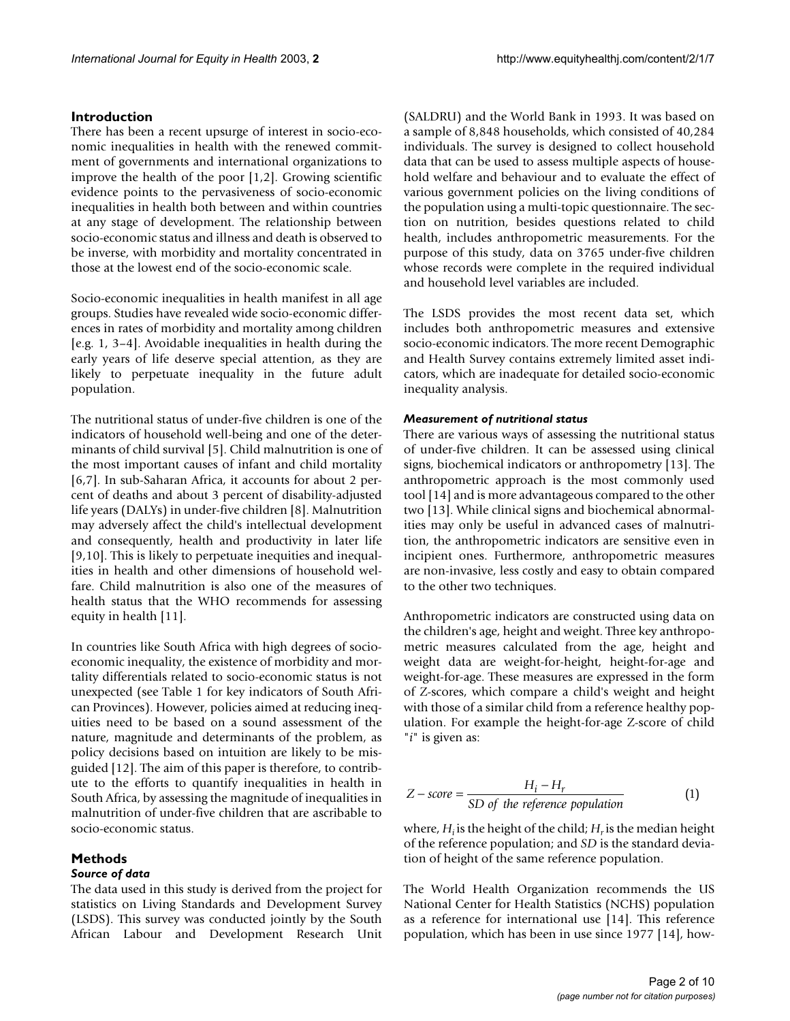# **Introduction**

There has been a recent upsurge of interest in socio-economic inequalities in health with the renewed commitment of governments and international organizations to improve the health of the poor  $[1,2]$ . Growing scientific evidence points to the pervasiveness of socio-economic inequalities in health both between and within countries at any stage of development. The relationship between socio-economic status and illness and death is observed to be inverse, with morbidity and mortality concentrated in those at the lowest end of the socio-economic scale.

Socio-economic inequalities in health manifest in all age groups. Studies have revealed wide socio-economic differences in rates of morbidity and mortality among children [e.g. 1, 3–4]. Avoidable inequalities in health during the early years of life deserve special attention, as they are likely to perpetuate inequality in the future adult population.

The nutritional status of under-five children is one of the indicators of household well-being and one of the determinants of child survival [5]. Child malnutrition is one of the most important causes of infant and child mortality [6,7]. In sub-Saharan Africa, it accounts for about 2 percent of deaths and about 3 percent of disability-adjusted life years (DALYs) in under-five children [8]. Malnutrition may adversely affect the child's intellectual development and consequently, health and productivity in later life [9,10]. This is likely to perpetuate inequities and inequalities in health and other dimensions of household welfare. Child malnutrition is also one of the measures of health status that the WHO recommends for assessing equity in health [11].

In countries like South Africa with high degrees of socioeconomic inequality, the existence of morbidity and mortality differentials related to socio-economic status is not unexpected (see Table [1](#page-2-0) for key indicators of South African Provinces). However, policies aimed at reducing inequities need to be based on a sound assessment of the nature, magnitude and determinants of the problem, as policy decisions based on intuition are likely to be misguided [12]. The aim of this paper is therefore, to contribute to the efforts to quantify inequalities in health in South Africa, by assessing the magnitude of inequalities in malnutrition of under-five children that are ascribable to socio-economic status.

# **Methods**

# *Source of data*

The data used in this study is derived from the project for statistics on Living Standards and Development Survey (LSDS). This survey was conducted jointly by the South African Labour and Development Research Unit (SALDRU) and the World Bank in 1993. It was based on a sample of 8,848 households, which consisted of 40,284 individuals. The survey is designed to collect household data that can be used to assess multiple aspects of household welfare and behaviour and to evaluate the effect of various government policies on the living conditions of the population using a multi-topic questionnaire. The section on nutrition, besides questions related to child health, includes anthropometric measurements. For the purpose of this study, data on 3765 under-five children whose records were complete in the required individual and household level variables are included.

The LSDS provides the most recent data set, which includes both anthropometric measures and extensive socio-economic indicators. The more recent Demographic and Health Survey contains extremely limited asset indicators, which are inadequate for detailed socio-economic inequality analysis.

# *Measurement of nutritional status*

There are various ways of assessing the nutritional status of under-five children. It can be assessed using clinical signs, biochemical indicators or anthropometry [13]. The anthropometric approach is the most commonly used tool [14] and is more advantageous compared to the other two [13]. While clinical signs and biochemical abnormalities may only be useful in advanced cases of malnutrition, the anthropometric indicators are sensitive even in incipient ones. Furthermore, anthropometric measures are non-invasive, less costly and easy to obtain compared to the other two techniques.

Anthropometric indicators are constructed using data on the children's age, height and weight. Three key anthropometric measures calculated from the age, height and weight data are weight-for-height, height-for-age and weight-for-age. These measures are expressed in the form of Z-scores, which compare a child's weight and height with those of a similar child from a reference healthy population. For example the height-for-age Z-score of child "*i*" is given as:

$$
Z - score = \frac{H_i - H_r}{SD \ of \ the \ reference \ population}
$$
 (1)

where, *H<sub>i</sub>* is the height of the child; *H<sub>r</sub>* is the median height of the reference population; and *SD* is the standard deviation of height of the same reference population.

The World Health Organization recommends the US National Center for Health Statistics (NCHS) population as a reference for international use [14]. This reference population, which has been in use since 1977 [14], how-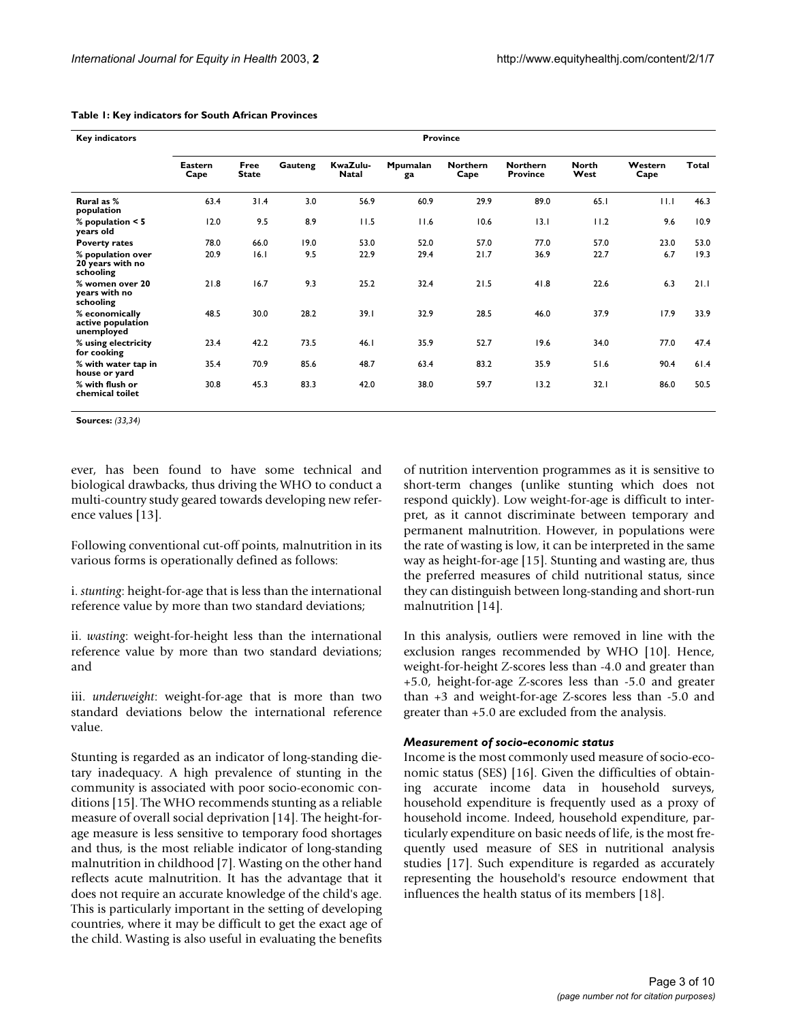| <b>Key indicators</b>                              | <b>Province</b> |                      |         |                          |                |                         |                                    |                      |                 |       |
|----------------------------------------------------|-----------------|----------------------|---------|--------------------------|----------------|-------------------------|------------------------------------|----------------------|-----------------|-------|
|                                                    | Eastern<br>Cape | Free<br><b>State</b> | Gauteng | KwaZulu-<br><b>Natal</b> | Mpumalan<br>ga | <b>Northern</b><br>Cape | <b>Northern</b><br><b>Province</b> | <b>North</b><br>West | Western<br>Cape | Total |
| Rural as %<br>population                           | 63.4            | 31.4                 | 3.0     | 56.9                     | 60.9           | 29.9                    | 89.0                               | 65.1                 | 11.1            | 46.3  |
| $%$ population < 5<br>years old                    | 12.0            | 9.5                  | 8.9     | 11.5                     | 11.6           | 10.6                    | 13.1                               | 11.2                 | 9.6             | 10.9  |
| <b>Poverty rates</b>                               | 78.0            | 66.0                 | 19.0    | 53.0                     | 52.0           | 57.0                    | 77.0                               | 57.0                 | 23.0            | 53.0  |
| % population over<br>20 years with no<br>schooling | 20.9            | 16.1                 | 9.5     | 22.9                     | 29.4           | 21.7                    | 36.9                               | 22.7                 | 6.7             | 19.3  |
| % women over 20<br>years with no<br>schooling      | 21.8            | 16.7                 | 9.3     | 25.2                     | 32.4           | 21.5                    | 41.8                               | 22.6                 | 6.3             | 21.1  |
| % economically<br>active population<br>unemployed  | 48.5            | 30.0                 | 28.2    | 39.1                     | 32.9           | 28.5                    | 46.0                               | 37.9                 | 17.9            | 33.9  |
| % using electricity<br>for cooking                 | 23.4            | 42.2                 | 73.5    | 46.1                     | 35.9           | 52.7                    | 19.6                               | 34.0                 | 77.0            | 47.4  |
| % with water tap in<br>house or yard               | 35.4            | 70.9                 | 85.6    | 48.7                     | 63.4           | 83.2                    | 35.9                               | 51.6                 | 90.4            | 61.4  |
| % with flush or<br>chemical toilet                 | 30.8            | 45.3                 | 83.3    | 42.0                     | 38.0           | 59.7                    | 13.2                               | 32.1                 | 86.0            | 50.5  |

#### <span id="page-2-0"></span>**Table 1: Key indicators for South African Provinces**

**Sources:** *(33,34)*

ever, has been found to have some technical and biological drawbacks, thus driving the WHO to conduct a multi-country study geared towards developing new reference values [13].

Following conventional cut-off points, malnutrition in its various forms is operationally defined as follows:

i. *stunting*: height-for-age that is less than the international reference value by more than two standard deviations;

ii. *wasting*: weight-for-height less than the international reference value by more than two standard deviations; and

iii. *underweight*: weight-for-age that is more than two standard deviations below the international reference value.

Stunting is regarded as an indicator of long-standing dietary inadequacy. A high prevalence of stunting in the community is associated with poor socio-economic conditions [15]. The WHO recommends stunting as a reliable measure of overall social deprivation [14]. The height-forage measure is less sensitive to temporary food shortages and thus, is the most reliable indicator of long-standing malnutrition in childhood [7]. Wasting on the other hand reflects acute malnutrition. It has the advantage that it does not require an accurate knowledge of the child's age. This is particularly important in the setting of developing countries, where it may be difficult to get the exact age of the child. Wasting is also useful in evaluating the benefits

of nutrition intervention programmes as it is sensitive to short-term changes (unlike stunting which does not respond quickly). Low weight-for-age is difficult to interpret, as it cannot discriminate between temporary and permanent malnutrition. However, in populations were the rate of wasting is low, it can be interpreted in the same way as height-for-age [15]. Stunting and wasting are, thus the preferred measures of child nutritional status, since they can distinguish between long-standing and short-run malnutrition [14].

In this analysis, outliers were removed in line with the exclusion ranges recommended by WHO [10]. Hence, weight-for-height Z-scores less than -4.0 and greater than +5.0, height-for-age Z-scores less than -5.0 and greater than +3 and weight-for-age Z-scores less than -5.0 and greater than +5.0 are excluded from the analysis.

## *Measurement of socio-economic status*

Income is the most commonly used measure of socio-economic status (SES) [16]. Given the difficulties of obtaining accurate income data in household surveys, household expenditure is frequently used as a proxy of household income. Indeed, household expenditure, particularly expenditure on basic needs of life, is the most frequently used measure of SES in nutritional analysis studies [17]. Such expenditure is regarded as accurately representing the household's resource endowment that influences the health status of its members [18].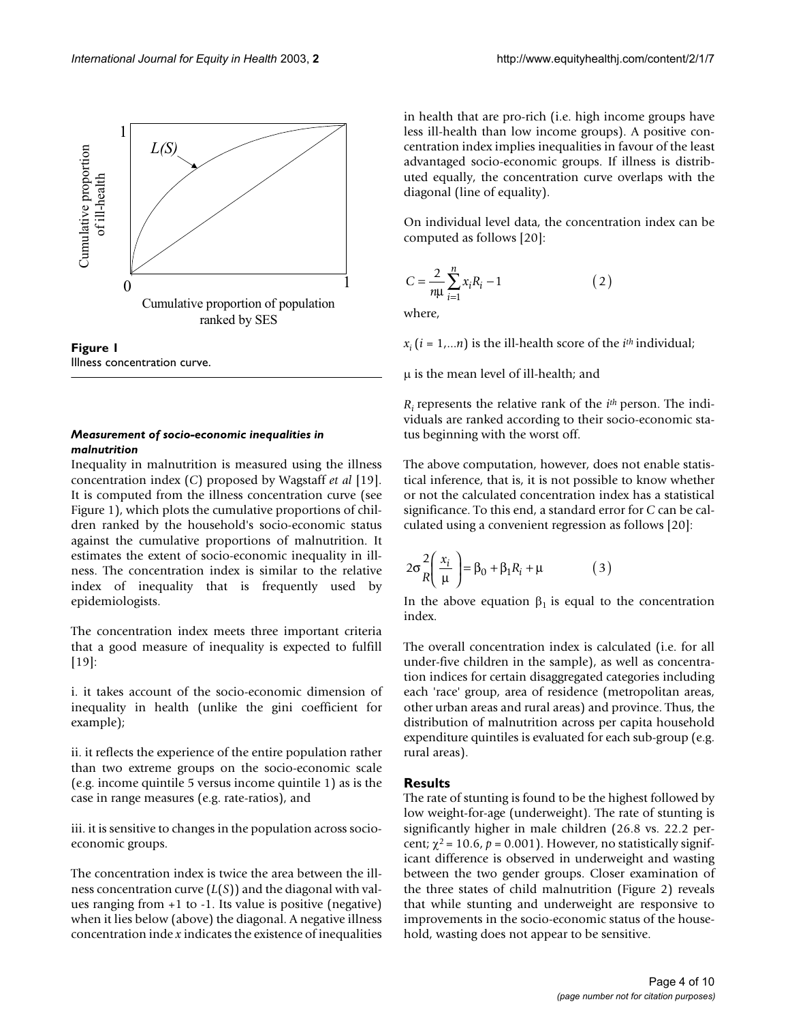



# *Measurement of socio-economic inequalities in malnutrition*

Inequality in malnutrition is measured using the illness concentration index (*C*) proposed by Wagstaff *et al* [19]. It is computed from the illness concentration curve (see Figure 1), which plots the cumulative proportions of children ranked by the household's socio-economic status against the cumulative proportions of malnutrition. It estimates the extent of socio-economic inequality in illness. The concentration index is similar to the relative index of inequality that is frequently used by epidemiologists.

The concentration index meets three important criteria that a good measure of inequality is expected to fulfill [19]:

i. it takes account of the socio-economic dimension of inequality in health (unlike the gini coefficient for example);

ii. it reflects the experience of the entire population rather than two extreme groups on the socio-economic scale (e.g. income quintile 5 versus income quintile 1) as is the case in range measures (e.g. rate-ratios), and

iii. it is sensitive to changes in the population across socioeconomic groups.

The concentration index is twice the area between the illness concentration curve (*L*(*S*)) and the diagonal with values ranging from +1 to -1. Its value is positive (negative) when it lies below (above) the diagonal. A negative illness concentration inde *x* indicates the existence of inequalities in health that are pro-rich (i.e. high income groups have less ill-health than low income groups). A positive concentration index implies inequalities in favour of the least advantaged socio-economic groups. If illness is distributed equally, the concentration curve overlaps with the diagonal (line of equality).

On individual level data, the concentration index can be computed as follows [20]:

$$
C = \frac{2}{n\mu} \sum_{i=1}^{n} x_i R_i - 1
$$
 (2)

where,

 $x_i$  ( $i = 1,...n$ ) is the ill-health score of the  $i<sup>th</sup>$  individual;

µ is the mean level of ill-health; and

*Ri* represents the relative rank of the *ith* person. The individuals are ranked according to their socio-economic status beginning with the worst off.

The above computation, however, does not enable statistical inference, that is, it is not possible to know whether or not the calculated concentration index has a statistical significance. To this end, a standard error for *C* can be calculated using a convenient regression as follows [20]:

$$
2\sigma \frac{2}{R} \left( \frac{x_i}{\mu} \right) = \beta_0 + \beta_1 R_i + \mu \tag{3}
$$

In the above equation  $β_1$  is equal to the concentration index.

The overall concentration index is calculated (i.e. for all under-five children in the sample), as well as concentration indices for certain disaggregated categories including each 'race' group, area of residence (metropolitan areas, other urban areas and rural areas) and province. Thus, the distribution of malnutrition across per capita household expenditure quintiles is evaluated for each sub-group (e.g. rural areas).

# **Results**

The rate of stunting is found to be the highest followed by low weight-for-age (underweight). The rate of stunting is significantly higher in male children (26.8 vs. 22.2 percent;  $\chi^2$  = 10.6,  $p$  = 0.001). However, no statistically significant difference is observed in underweight and wasting between the two gender groups. Closer examination of the three states of child malnutrition (Figure 2) reveals that while stunting and underweight are responsive to improvements in the socio-economic status of the household, wasting does not appear to be sensitive.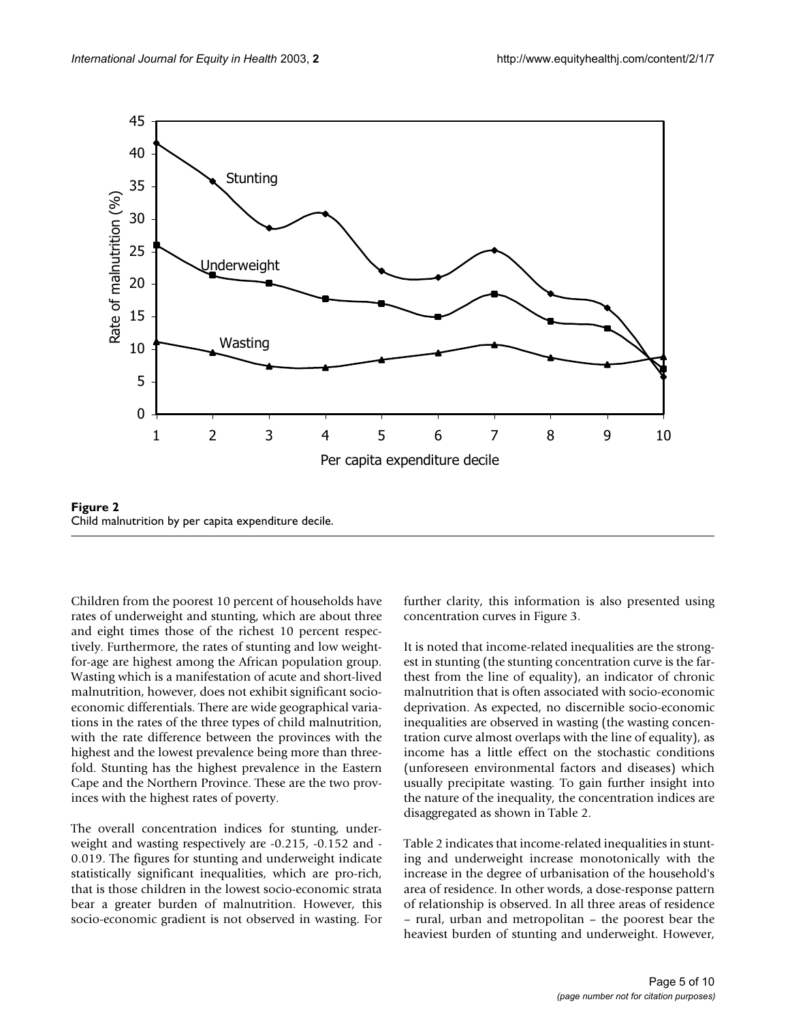

Child malnutrition by per capita expenditure decile.

Children from the poorest 10 percent of households have rates of underweight and stunting, which are about three and eight times those of the richest 10 percent respectively. Furthermore, the rates of stunting and low weightfor-age are highest among the African population group. Wasting which is a manifestation of acute and short-lived malnutrition, however, does not exhibit significant socioeconomic differentials. There are wide geographical variations in the rates of the three types of child malnutrition, with the rate difference between the provinces with the highest and the lowest prevalence being more than threefold. Stunting has the highest prevalence in the Eastern Cape and the Northern Province. These are the two provinces with the highest rates of poverty.

The overall concentration indices for stunting, underweight and wasting respectively are -0.215, -0.152 and - 0.019. The figures for stunting and underweight indicate statistically significant inequalities, which are pro-rich, that is those children in the lowest socio-economic strata bear a greater burden of malnutrition. However, this socio-economic gradient is not observed in wasting. For further clarity, this information is also presented using concentration curves in Figure 3.

It is noted that income-related inequalities are the strongest in stunting (the stunting concentration curve is the farthest from the line of equality), an indicator of chronic malnutrition that is often associated with socio-economic deprivation. As expected, no discernible socio-economic inequalities are observed in wasting (the wasting concentration curve almost overlaps with the line of equality), as income has a little effect on the stochastic conditions (unforeseen environmental factors and diseases) which usually precipitate wasting. To gain further insight into the nature of the inequality, the concentration indices are disaggregated as shown in Table [2](#page-6-0).

Table [2](#page-6-0) indicates that income-related inequalities in stunting and underweight increase monotonically with the increase in the degree of urbanisation of the household's area of residence. In other words, a dose-response pattern of relationship is observed. In all three areas of residence – rural, urban and metropolitan – the poorest bear the heaviest burden of stunting and underweight. However,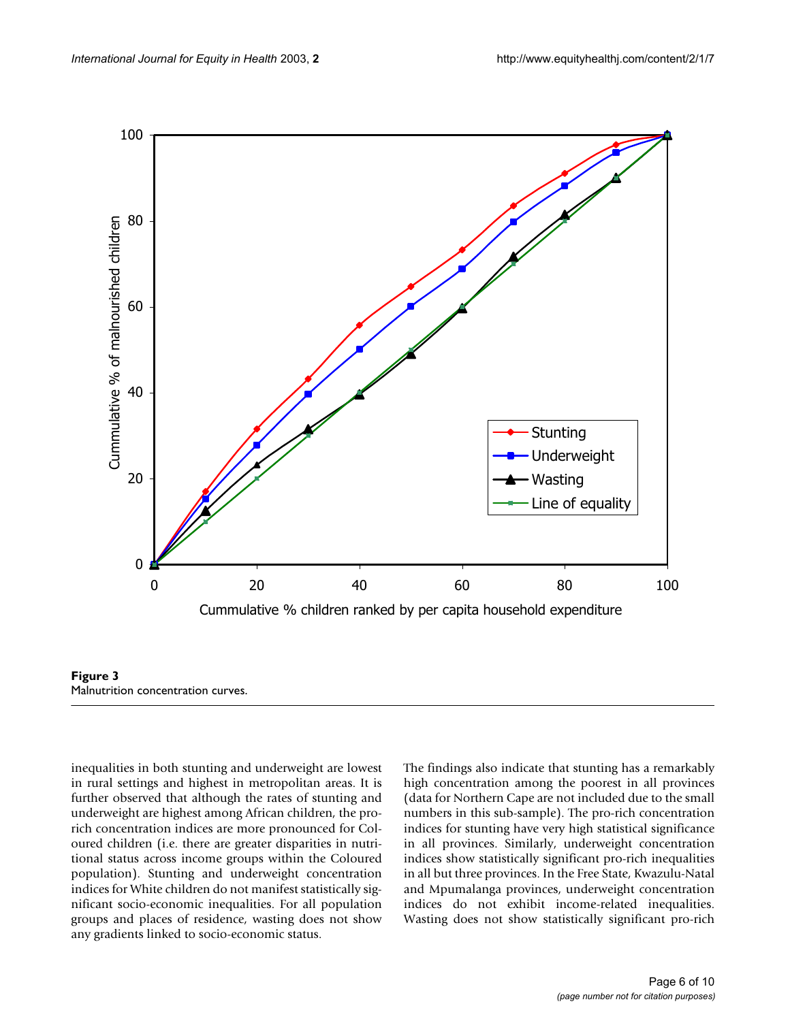



inequalities in both stunting and underweight are lowest in rural settings and highest in metropolitan areas. It is further observed that although the rates of stunting and underweight are highest among African children, the prorich concentration indices are more pronounced for Coloured children (i.e. there are greater disparities in nutritional status across income groups within the Coloured population). Stunting and underweight concentration indices for White children do not manifest statistically significant socio-economic inequalities. For all population groups and places of residence, wasting does not show any gradients linked to socio-economic status.

The findings also indicate that stunting has a remarkably high concentration among the poorest in all provinces (data for Northern Cape are not included due to the small numbers in this sub-sample). The pro-rich concentration indices for stunting have very high statistical significance in all provinces. Similarly, underweight concentration indices show statistically significant pro-rich inequalities in all but three provinces. In the Free State, Kwazulu-Natal and Mpumalanga provinces, underweight concentration indices do not exhibit income-related inequalities. Wasting does not show statistically significant pro-rich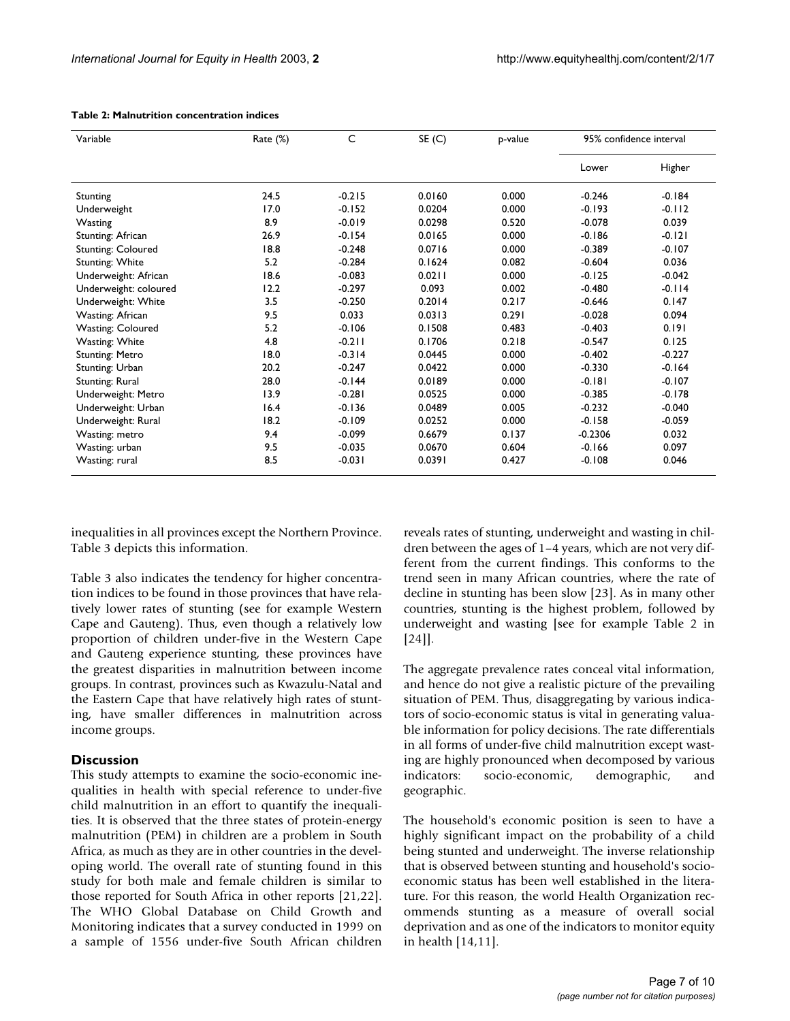| Variable                  | Rate (%) | C        | SE(C)  | p-value | 95% confidence interval |          |
|---------------------------|----------|----------|--------|---------|-------------------------|----------|
|                           |          |          |        |         | Lower                   | Higher   |
| Stunting                  | 24.5     | $-0.215$ | 0.0160 | 0.000   | $-0.246$                | $-0.184$ |
| Underweight               | 17.0     | $-0.152$ | 0.0204 | 0.000   | $-0.193$                | $-0.112$ |
| <b>Wasting</b>            | 8.9      | $-0.019$ | 0.0298 | 0.520   | $-0.078$                | 0.039    |
| Stunting: African         | 26.9     | $-0.154$ | 0.0165 | 0.000   | $-0.186$                | $-0.121$ |
| <b>Stunting: Coloured</b> | 18.8     | $-0.248$ | 0.0716 | 0.000   | $-0.389$                | $-0.107$ |
| Stunting: White           | 5.2      | $-0.284$ | 0.1624 | 0.082   | $-0.604$                | 0.036    |
| Underweight: African      | 18.6     | $-0.083$ | 0.0211 | 0.000   | $-0.125$                | $-0.042$ |
| Underweight: coloured     | 12.2     | $-0.297$ | 0.093  | 0.002   | $-0.480$                | $-0.114$ |
| Underweight: White        | 3.5      | $-0.250$ | 0.2014 | 0.217   | $-0.646$                | 0.147    |
| Wasting: African          | 9.5      | 0.033    | 0.0313 | 0.291   | $-0.028$                | 0.094    |
| <b>Wasting: Coloured</b>  | 5.2      | $-0.106$ | 0.1508 | 0.483   | $-0.403$                | 0.191    |
| Wasting: White            | 4.8      | $-0.211$ | 0.1706 | 0.218   | $-0.547$                | 0.125    |
| Stunting: Metro           | 18.0     | $-0.314$ | 0.0445 | 0.000   | $-0.402$                | $-0.227$ |
| Stunting: Urban           | 20.2     | $-0.247$ | 0.0422 | 0.000   | $-0.330$                | $-0.164$ |
| Stunting: Rural           | 28.0     | $-0.144$ | 0.0189 | 0.000   | $-0.181$                | $-0.107$ |
| Underweight: Metro        | 13.9     | $-0.281$ | 0.0525 | 0.000   | $-0.385$                | $-0.178$ |
| Underweight: Urban        | 16.4     | $-0.136$ | 0.0489 | 0.005   | $-0.232$                | $-0.040$ |
| Underweight: Rural        | 18.2     | $-0.109$ | 0.0252 | 0.000   | $-0.158$                | $-0.059$ |
| Wasting: metro            | 9.4      | $-0.099$ | 0.6679 | 0.137   | $-0.2306$               | 0.032    |
| Wasting: urban            | 9.5      | $-0.035$ | 0.0670 | 0.604   | $-0.166$                | 0.097    |
| Wasting: rural            | 8.5      | $-0.031$ | 0.0391 | 0.427   | $-0.108$                | 0.046    |

### <span id="page-6-0"></span>**Table 2: Malnutrition concentration indices**

inequalities in all provinces except the Northern Province. Table [3](#page-7-0) depicts this information.

Table [3](#page-7-0) also indicates the tendency for higher concentration indices to be found in those provinces that have relatively lower rates of stunting (see for example Western Cape and Gauteng). Thus, even though a relatively low proportion of children under-five in the Western Cape and Gauteng experience stunting, these provinces have the greatest disparities in malnutrition between income groups. In contrast, provinces such as Kwazulu-Natal and the Eastern Cape that have relatively high rates of stunting, have smaller differences in malnutrition across income groups.

# **Discussion**

This study attempts to examine the socio-economic inequalities in health with special reference to under-five child malnutrition in an effort to quantify the inequalities. It is observed that the three states of protein-energy malnutrition (PEM) in children are a problem in South Africa, as much as they are in other countries in the developing world. The overall rate of stunting found in this study for both male and female children is similar to those reported for South Africa in other reports [21,22]. The WHO Global Database on Child Growth and Monitoring indicates that a survey conducted in 1999 on a sample of 1556 under-five South African children reveals rates of stunting, underweight and wasting in children between the ages of 1–4 years, which are not very different from the current findings. This conforms to the trend seen in many African countries, where the rate of decline in stunting has been slow [23]. As in many other countries, stunting is the highest problem, followed by underweight and wasting [see for example Table [2](#page-6-0) in [24]].

The aggregate prevalence rates conceal vital information, and hence do not give a realistic picture of the prevailing situation of PEM. Thus, disaggregating by various indicators of socio-economic status is vital in generating valuable information for policy decisions. The rate differentials in all forms of under-five child malnutrition except wasting are highly pronounced when decomposed by various indicators: socio-economic, demographic, and geographic.

The household's economic position is seen to have a highly significant impact on the probability of a child being stunted and underweight. The inverse relationship that is observed between stunting and household's socioeconomic status has been well established in the literature. For this reason, the world Health Organization recommends stunting as a measure of overall social deprivation and as one of the indicators to monitor equity in health [14,11].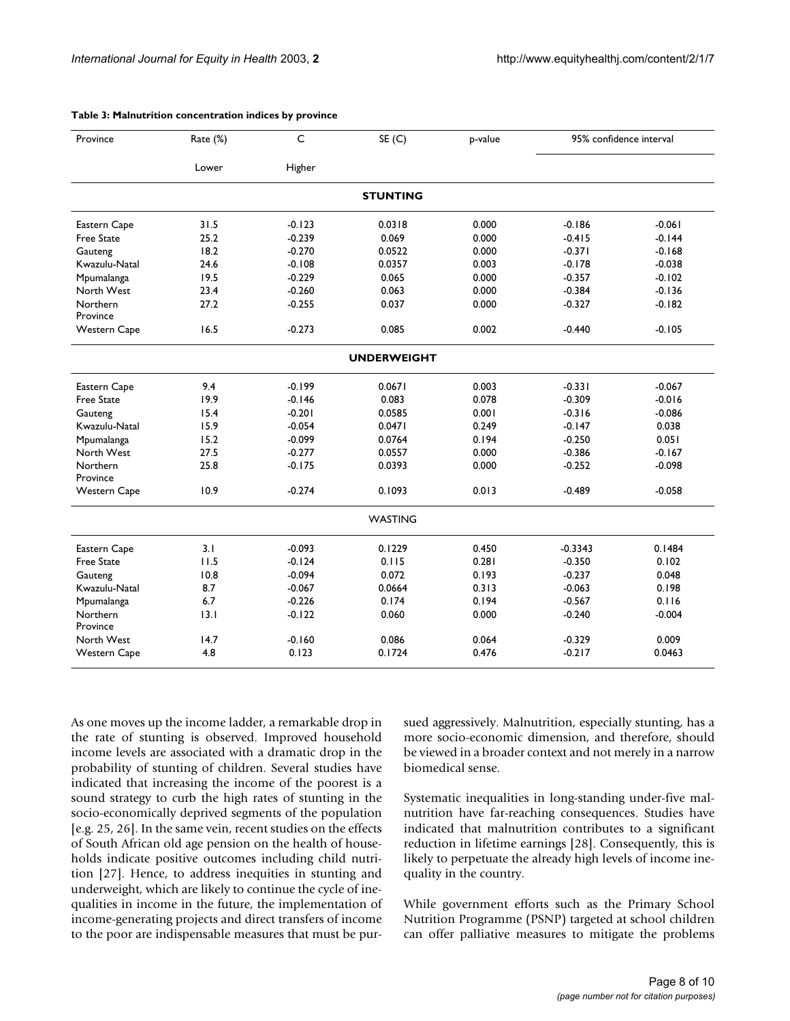| Province                    | Rate (%) | $\mathsf C$ | SE(C)              | p-value | 95% confidence interval |          |
|-----------------------------|----------|-------------|--------------------|---------|-------------------------|----------|
|                             | Lower    | Higher      |                    |         |                         |          |
|                             |          |             | <b>STUNTING</b>    |         |                         |          |
| Eastern Cape                | 31.5     | $-0.123$    | 0.0318             | 0.000   | $-0.186$                | $-0.061$ |
| <b>Free State</b>           | 25.2     | $-0.239$    | 0.069              | 0.000   | $-0.415$                | $-0.144$ |
| Gauteng                     | 18.2     | $-0.270$    | 0.0522             | 0.000   | $-0.371$                | $-0.168$ |
| Kwazulu-Natal               | 24.6     | $-0.108$    | 0.0357             | 0.003   | $-0.178$                | $-0.038$ |
| Mpumalanga                  | 19.5     | $-0.229$    | 0.065              | 0.000   | $-0.357$                | $-0.102$ |
| North West                  | 23.4     | $-0.260$    | 0.063              | 0.000   | $-0.384$                | $-0.136$ |
| Northern<br>Province        | 27.2     | $-0.255$    | 0.037              | 0.000   | $-0.327$                | $-0.182$ |
| Western Cape                | 16.5     | $-0.273$    | 0.085              | 0.002   | $-0.440$                | $-0.105$ |
|                             |          |             | <b>UNDERWEIGHT</b> |         |                         |          |
| Eastern Cape                | 9.4      | $-0.199$    | 0.0671             | 0.003   | $-0.331$                | $-0.067$ |
| <b>Free State</b>           | 19.9     | $-0.146$    | 0.083              | 0.078   | $-0.309$                | $-0.016$ |
| Gauteng                     | 15.4     | $-0.201$    | 0.0585             | 0.001   | $-0.316$                | $-0.086$ |
| Kwazulu-Natal               | 15.9     | $-0.054$    | 0.0471             | 0.249   | $-0.147$                | 0.038    |
| Mpumalanga                  | 15.2     | $-0.099$    | 0.0764             | 0.194   | $-0.250$                | 0.051    |
| North West                  | 27.5     | $-0.277$    | 0.0557             | 0.000   | $-0.386$                | $-0.167$ |
| <b>Northern</b><br>Province | 25.8     | $-0.175$    | 0.0393             | 0.000   | $-0.252$                | $-0.098$ |
| <b>Western Cape</b>         | 10.9     | $-0.274$    | 0.1093             | 0.013   | $-0.489$                | $-0.058$ |
|                             |          |             | <b>WASTING</b>     |         |                         |          |
| Eastern Cape                | 3.1      | $-0.093$    | 0.1229             | 0.450   | $-0.3343$               | 0.1484   |
| Free State                  | 11.5     | $-0.124$    | 0.115              | 0.281   | $-0.350$                | 0.102    |
| Gauteng                     | 10.8     | $-0.094$    | 0.072              | 0.193   | $-0.237$                | 0.048    |
| Kwazulu-Natal               | 8.7      | $-0.067$    | 0.0664             | 0.313   | $-0.063$                | 0.198    |
| Mpumalanga                  | 6.7      | $-0.226$    | 0.174              | 0.194   | $-0.567$                | 0.116    |
| Northern<br>Province        | 13.1     | $-0.122$    | 0.060              | 0.000   | $-0.240$                | $-0.004$ |
| North West                  | 14.7     | $-0.160$    | 0.086              | 0.064   | $-0.329$                | 0.009    |
| Western Cape                | 4.8      | 0.123       | 0.1724             | 0.476   | $-0.217$                | 0.0463   |

#### <span id="page-7-0"></span>**Table 3: Malnutrition concentration indices by province**

As one moves up the income ladder, a remarkable drop in the rate of stunting is observed. Improved household income levels are associated with a dramatic drop in the probability of stunting of children. Several studies have indicated that increasing the income of the poorest is a sound strategy to curb the high rates of stunting in the socio-economically deprived segments of the population [e.g. 25, 26]. In the same vein, recent studies on the effects of South African old age pension on the health of households indicate positive outcomes including child nutrition [27]. Hence, to address inequities in stunting and underweight, which are likely to continue the cycle of inequalities in income in the future, the implementation of income-generating projects and direct transfers of income to the poor are indispensable measures that must be pur-

sued aggressively. Malnutrition, especially stunting, has a more socio-economic dimension, and therefore, should be viewed in a broader context and not merely in a narrow biomedical sense.

Systematic inequalities in long-standing under-five malnutrition have far-reaching consequences. Studies have indicated that malnutrition contributes to a significant reduction in lifetime earnings [28]. Consequently, this is likely to perpetuate the already high levels of income inequality in the country.

While government efforts such as the Primary School Nutrition Programme (PSNP) targeted at school children can offer palliative measures to mitigate the problems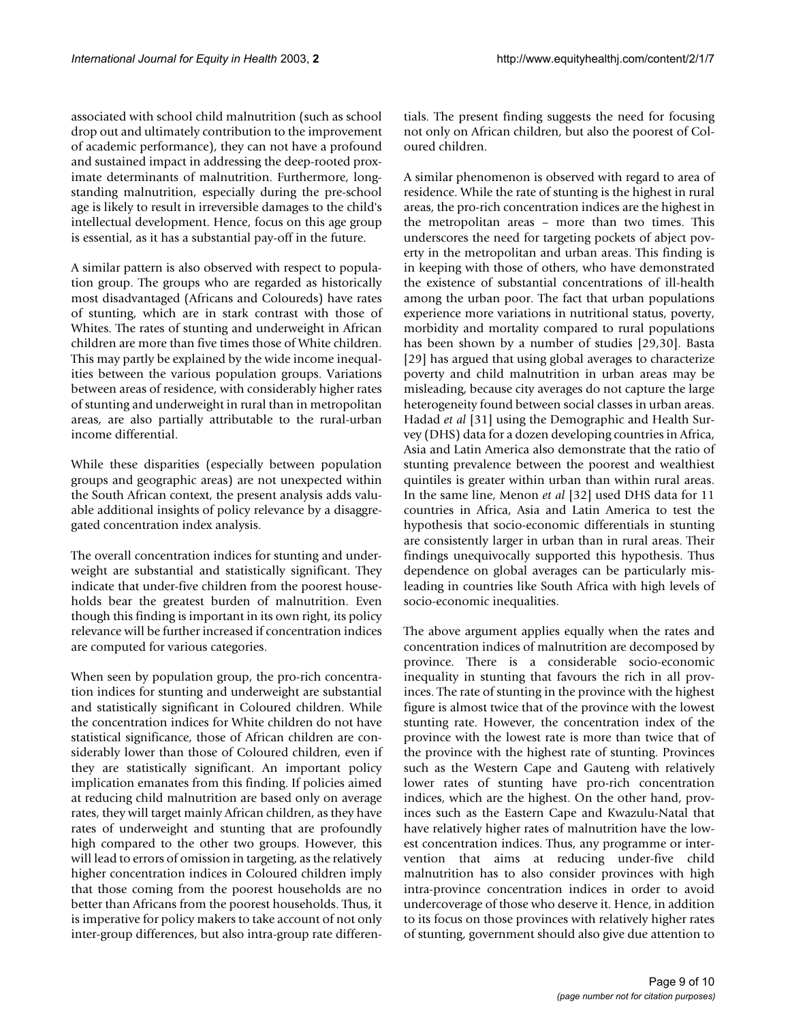associated with school child malnutrition (such as school drop out and ultimately contribution to the improvement of academic performance), they can not have a profound and sustained impact in addressing the deep-rooted proximate determinants of malnutrition. Furthermore, longstanding malnutrition, especially during the pre-school age is likely to result in irreversible damages to the child's intellectual development. Hence, focus on this age group is essential, as it has a substantial pay-off in the future.

A similar pattern is also observed with respect to population group. The groups who are regarded as historically most disadvantaged (Africans and Coloureds) have rates of stunting, which are in stark contrast with those of Whites. The rates of stunting and underweight in African children are more than five times those of White children. This may partly be explained by the wide income inequalities between the various population groups. Variations between areas of residence, with considerably higher rates of stunting and underweight in rural than in metropolitan areas, are also partially attributable to the rural-urban income differential.

While these disparities (especially between population groups and geographic areas) are not unexpected within the South African context, the present analysis adds valuable additional insights of policy relevance by a disaggregated concentration index analysis.

The overall concentration indices for stunting and underweight are substantial and statistically significant. They indicate that under-five children from the poorest households bear the greatest burden of malnutrition. Even though this finding is important in its own right, its policy relevance will be further increased if concentration indices are computed for various categories.

When seen by population group, the pro-rich concentration indices for stunting and underweight are substantial and statistically significant in Coloured children. While the concentration indices for White children do not have statistical significance, those of African children are considerably lower than those of Coloured children, even if they are statistically significant. An important policy implication emanates from this finding. If policies aimed at reducing child malnutrition are based only on average rates, they will target mainly African children, as they have rates of underweight and stunting that are profoundly high compared to the other two groups. However, this will lead to errors of omission in targeting, as the relatively higher concentration indices in Coloured children imply that those coming from the poorest households are no better than Africans from the poorest households. Thus, it is imperative for policy makers to take account of not only inter-group differences, but also intra-group rate differentials. The present finding suggests the need for focusing not only on African children, but also the poorest of Coloured children.

A similar phenomenon is observed with regard to area of residence. While the rate of stunting is the highest in rural areas, the pro-rich concentration indices are the highest in the metropolitan areas – more than two times. This underscores the need for targeting pockets of abject poverty in the metropolitan and urban areas. This finding is in keeping with those of others, who have demonstrated the existence of substantial concentrations of ill-health among the urban poor. The fact that urban populations experience more variations in nutritional status, poverty, morbidity and mortality compared to rural populations has been shown by a number of studies [29,30]. Basta [29] has argued that using global averages to characterize poverty and child malnutrition in urban areas may be misleading, because city averages do not capture the large heterogeneity found between social classes in urban areas. Hadad *et al* [31] using the Demographic and Health Survey (DHS) data for a dozen developing countries in Africa, Asia and Latin America also demonstrate that the ratio of stunting prevalence between the poorest and wealthiest quintiles is greater within urban than within rural areas. In the same line, Menon *et al* [32] used DHS data for 11 countries in Africa, Asia and Latin America to test the hypothesis that socio-economic differentials in stunting are consistently larger in urban than in rural areas. Their findings unequivocally supported this hypothesis. Thus dependence on global averages can be particularly misleading in countries like South Africa with high levels of socio-economic inequalities.

The above argument applies equally when the rates and concentration indices of malnutrition are decomposed by province. There is a considerable socio-economic inequality in stunting that favours the rich in all provinces. The rate of stunting in the province with the highest figure is almost twice that of the province with the lowest stunting rate. However, the concentration index of the province with the lowest rate is more than twice that of the province with the highest rate of stunting. Provinces such as the Western Cape and Gauteng with relatively lower rates of stunting have pro-rich concentration indices, which are the highest. On the other hand, provinces such as the Eastern Cape and Kwazulu-Natal that have relatively higher rates of malnutrition have the lowest concentration indices. Thus, any programme or intervention that aims at reducing under-five child malnutrition has to also consider provinces with high intra-province concentration indices in order to avoid undercoverage of those who deserve it. Hence, in addition to its focus on those provinces with relatively higher rates of stunting, government should also give due attention to